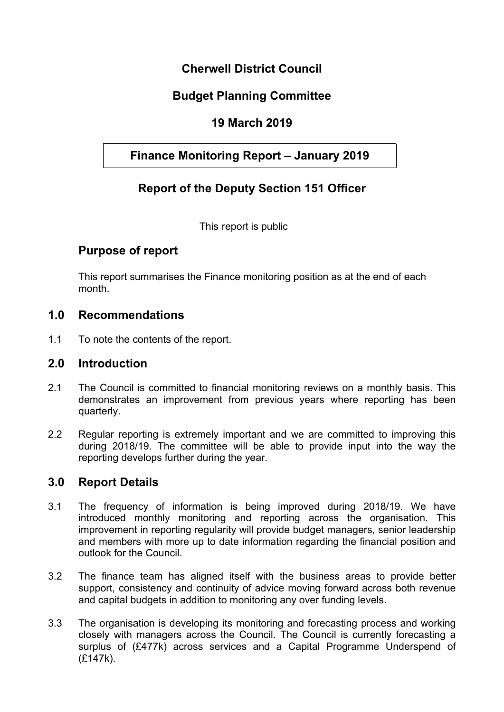# **Cherwell District Council**

# **Budget Planning Committee**

## **19 March 2019**

# **Finance Monitoring Report – January 2019**

# **Report of the Deputy Section 151 Officer**

This report is public

### **Purpose of report**

This report summarises the Finance monitoring position as at the end of each month.

#### **1.0 Recommendations**

1.1 To note the contents of the report.

#### **2.0 Introduction**

- 2.1 The Council is committed to financial monitoring reviews on a monthly basis. This demonstrates an improvement from previous years where reporting has been quarterly.
- 2.2 Regular reporting is extremely important and we are committed to improving this during 2018/19. The committee will be able to provide input into the way the reporting develops further during the year.

### **3.0 Report Details**

- 3.1 The frequency of information is being improved during 2018/19. We have introduced monthly monitoring and reporting across the organisation. This improvement in reporting regularity will provide budget managers, senior leadership and members with more up to date information regarding the financial position and outlook for the Council.
- 3.2 The finance team has aligned itself with the business areas to provide better support, consistency and continuity of advice moving forward across both revenue and capital budgets in addition to monitoring any over funding levels.
- 3.3 The organisation is developing its monitoring and forecasting process and working closely with managers across the Council. The Council is currently forecasting a surplus of (£477k) across services and a Capital Programme Underspend of (£147k).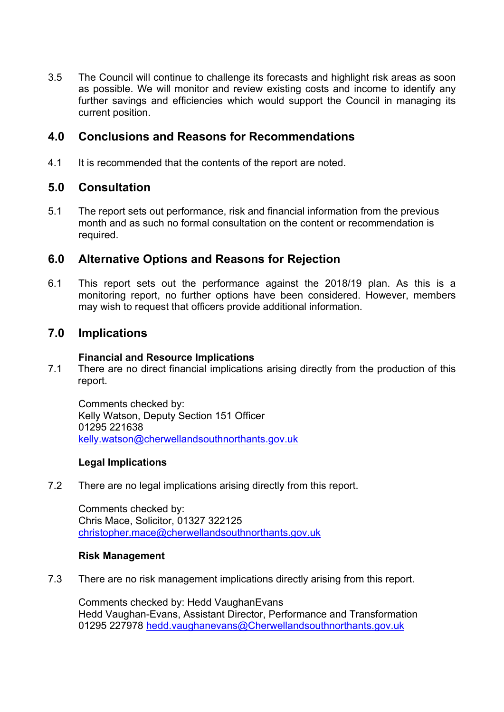3.5 The Council will continue to challenge its forecasts and highlight risk areas as soon as possible. We will monitor and review existing costs and income to identify any further savings and efficiencies which would support the Council in managing its current position.

## **4.0 Conclusions and Reasons for Recommendations**

4.1 It is recommended that the contents of the report are noted.

### **5.0 Consultation**

5.1 The report sets out performance, risk and financial information from the previous month and as such no formal consultation on the content or recommendation is required.

### **6.0 Alternative Options and Reasons for Rejection**

6.1 This report sets out the performance against the 2018/19 plan. As this is a monitoring report, no further options have been considered. However, members may wish to request that officers provide additional information.

### **7.0 Implications**

#### **Financial and Resource Implications**

7.1 There are no direct financial implications arising directly from the production of this report.

Comments checked by: Kelly Watson, Deputy Section 151 Officer 01295 221638 [kelly.watson@cherwellandsouthnorthants.gov.uk](mailto:kelly.watson@cherwellandsouthnorthants.gov.uk)

#### **Legal Implications**

7.2 There are no legal implications arising directly from this report.

Comments checked by: Chris Mace, Solicitor, 01327 322125 [christopher.mace@cherwellandsouthnorthants.gov.uk](mailto:christopher.mace@cherwellandsouthnorthants.gov.uk)

#### **Risk Management**

7.3 There are no risk management implications directly arising from this report.

Comments checked by: Hedd VaughanEvans Hedd Vaughan-Evans, Assistant Director, Performance and Transformation 01295 227978 [hedd.vaughanevans@Cherwellandsouthnorthants.gov.uk](mailto:hedd.vaughanevans@cherwellandsouthnorthants.gov.uk)